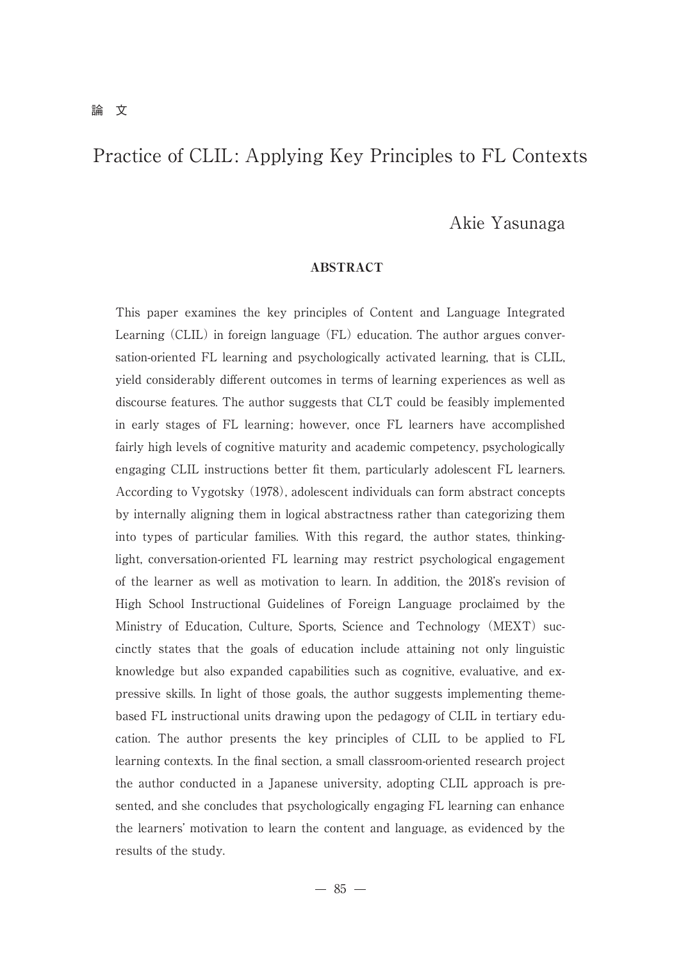# Akie Yasunaga

## ABSTRACT

This paper examines the key principles of Content and Language Integrated Learning (CLIL) in foreign language (FL) education. The author argues conversation-oriented FL learning and psychologically activated learning, that is CLIL, yield considerably different outcomes in terms of learning experiences as well as discourse features. The author suggests that CLT could be feasibly implemented in early stages of FL learning; however, once FL learners have accomplished fairly high levels of cognitive maturity and academic competency, psychologically engaging CLIL instructions better fit them, particularly adolescent FL learners. According to Vygotsky (1978), adolescent individuals can form abstract concepts by internally aligning them in logical abstractness rather than categorizing them into types of particular families. With this regard, the author states, thinkinglight, conversation-oriented FL learning may restrict psychological engagement of the learner as well as motivation to learn. In addition, the 2018's revision of High School Instructional Guidelines of Foreign Language proclaimed by the Ministry of Education, Culture, Sports, Science and Technology (MEXT) succinctly states that the goals of education include attaining not only linguistic knowledge but also expanded capabilities such as cognitive, evaluative, and expressive skills. In light of those goals, the author suggests implementing themebased FL instructional units drawing upon the pedagogy of CLIL in tertiary education. The author presents the key principles of CLIL to be applied to FL learning contexts. In the final section, a small classroom-oriented research project the author conducted in a Japanese university, adopting CLIL approach is presented, and she concludes that psychologically engaging FL learning can enhance the learners' motivation to learn the content and language, as evidenced by the results of the study.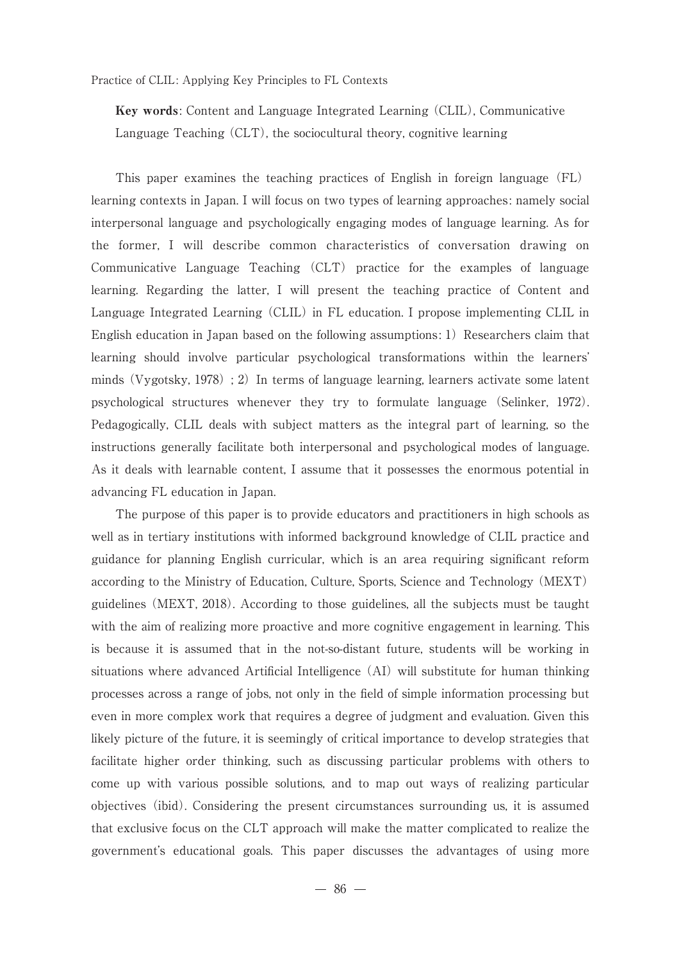Key words: Content and Language Integrated Learning (CLIL), Communicative Language Teaching (CLT), the sociocultural theory, cognitive learning

 This paper examines the teaching practices of English in foreign language (FL) learning contexts in Japan. I will focus on two types of learning approaches: namely social interpersonal language and psychologically engaging modes of language learning. As for the former, I will describe common characteristics of conversation drawing on Communicative Language Teaching (CLT) practice for the examples of language learning. Regarding the latter, I will present the teaching practice of Content and Language Integrated Learning (CLIL) in FL education. I propose implementing CLIL in English education in Japan based on the following assumptions:  $1$ ) Researchers claim that learning should involve particular psychological transformations within the learners' minds (Vygotsky, 1978); 2) In terms of language learning, learners activate some latent psychological structures whenever they try to formulate language (Selinker, 1972). Pedagogically, CLIL deals with subject matters as the integral part of learning, so the instructions generally facilitate both interpersonal and psychological modes of language. As it deals with learnable content, I assume that it possesses the enormous potential in advancing FL education in Japan.

 The purpose of this paper is to provide educators and practitioners in high schools as well as in tertiary institutions with informed background knowledge of CLIL practice and guidance for planning English curricular, which is an area requiring significant reform according to the Ministry of Education, Culture, Sports, Science and Technology (MEXT) guidelines (MEXT, 2018). According to those guidelines, all the subjects must be taught with the aim of realizing more proactive and more cognitive engagement in learning. This is because it is assumed that in the not-so-distant future, students will be working in situations where advanced Artificial Intelligence (AI) will substitute for human thinking processes across a range of jobs, not only in the field of simple information processing but even in more complex work that requires a degree of judgment and evaluation. Given this likely picture of the future, it is seemingly of critical importance to develop strategies that facilitate higher order thinking, such as discussing particular problems with others to come up with various possible solutions, and to map out ways of realizing particular objectives (ibid). Considering the present circumstances surrounding us, it is assumed that exclusive focus on the CLT approach will make the matter complicated to realize the government's educational goals. This paper discusses the advantages of using more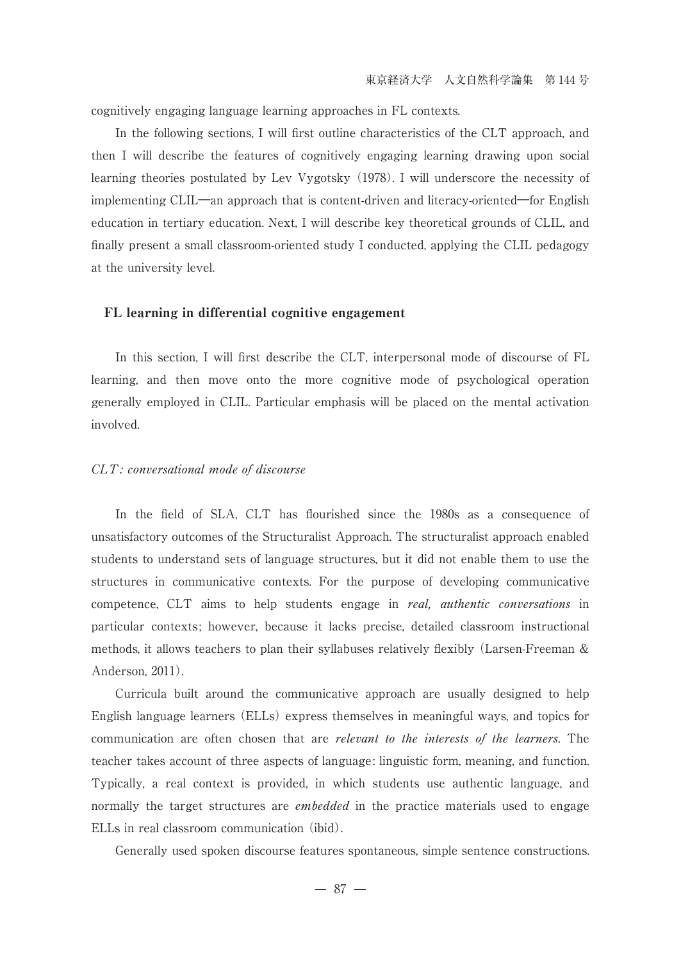cognitively engaging language learning approaches in FL contexts.

 In the following sections, I will first outline characteristics of the CLT approach, and then I will describe the features of cognitively engaging learning drawing upon social learning theories postulated by Lev Vygotsky (1978). I will underscore the necessity of implementing CLIL―an approach that is content-driven and literacy-oriented―for English education in tertiary education. Next, I will describe key theoretical grounds of CLIL, and finally present a small classroom-oriented study I conducted, applying the CLIL pedagogy at the university level.

## FL learning in differential cognitive engagement

 In this section, I will first describe the CLT, interpersonal mode of discourse of FL learning, and then move onto the more cognitive mode of psychological operation generally employed in CLIL. Particular emphasis will be placed on the mental activation involved.

## CLT: conversational mode of discourse

 In the field of SLA, CLT has flourished since the 1980s as a consequence of unsatisfactory outcomes of the Structuralist Approach. The structuralist approach enabled students to understand sets of language structures, but it did not enable them to use the structures in communicative contexts. For the purpose of developing communicative competence, CLT aims to help students engage in *real, authentic conversations* in particular contexts; however, because it lacks precise, detailed classroom instructional methods, it allows teachers to plan their syllabuses relatively flexibly (Larsen-Freeman & Anderson, 2011).

 Curricula built around the communicative approach are usually designed to help English language learners (ELLs) express themselves in meaningful ways, and topics for communication are often chosen that are *relevant to the interests of the learners*. The teacher takes account of three aspects of language: linguistic form, meaning, and function. Typically, a real context is provided, in which students use authentic language, and normally the target structures are *embedded* in the practice materials used to engage ELLs in real classroom communication (ibid).

Generally used spoken discourse features spontaneous, simple sentence constructions.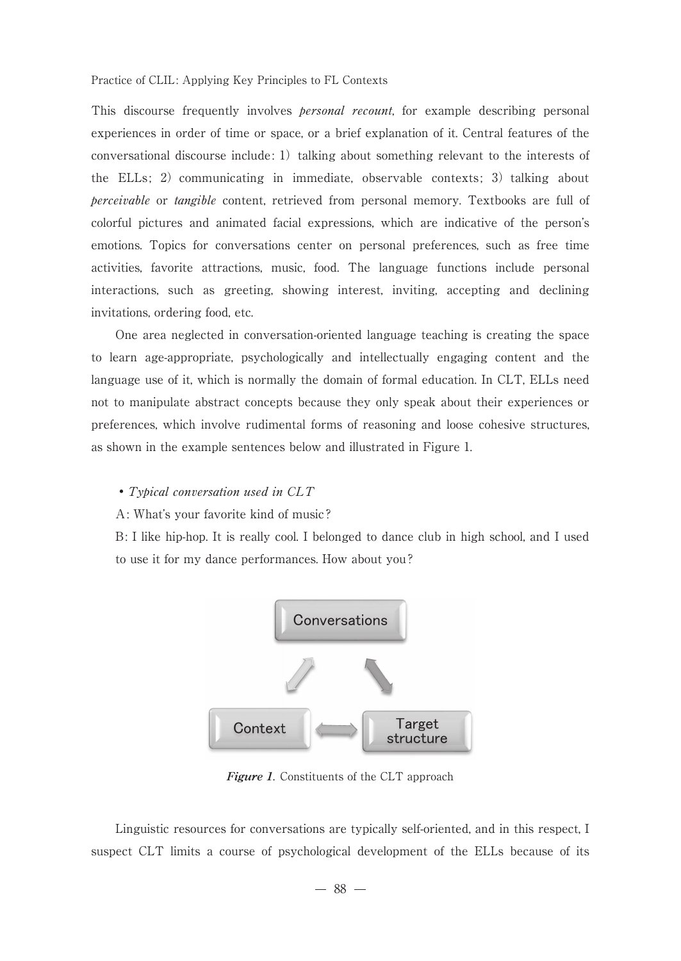This discourse frequently involves *personal recount*, for example describing personal experiences in order of time or space, or a brief explanation of it. Central features of the conversational discourse include: 1) talking about something relevant to the interests of the ELLs; 2) communicating in immediate, observable contexts; 3) talking about perceivable or tangible content, retrieved from personal memory. Textbooks are full of colorful pictures and animated facial expressions, which are indicative of the person's emotions. Topics for conversations center on personal preferences, such as free time activities, favorite attractions, music, food. The language functions include personal interactions, such as greeting, showing interest, inviting, accepting and declining invitations, ordering food, etc.

 One area neglected in conversation-oriented language teaching is creating the space to learn age-appropriate, psychologically and intellectually engaging content and the language use of it, which is normally the domain of formal education. In CLT, ELLs need not to manipulate abstract concepts because they only speak about their experiences or preferences, which involve rudimental forms of reasoning and loose cohesive structures, as shown in the example sentences below and illustrated in Figure 1.

## • Typical conversation used in CLT

A: What's your favorite kind of music?

B: I like hip-hop. It is really cool. I belonged to dance club in high school, and I used to use it for my dance performances. How about you?



**Figure 1**. Constituents of the CLT approach

 Linguistic resources for conversations are typically self-oriented, and in this respect, I suspect CLT limits a course of psychological development of the ELLs because of its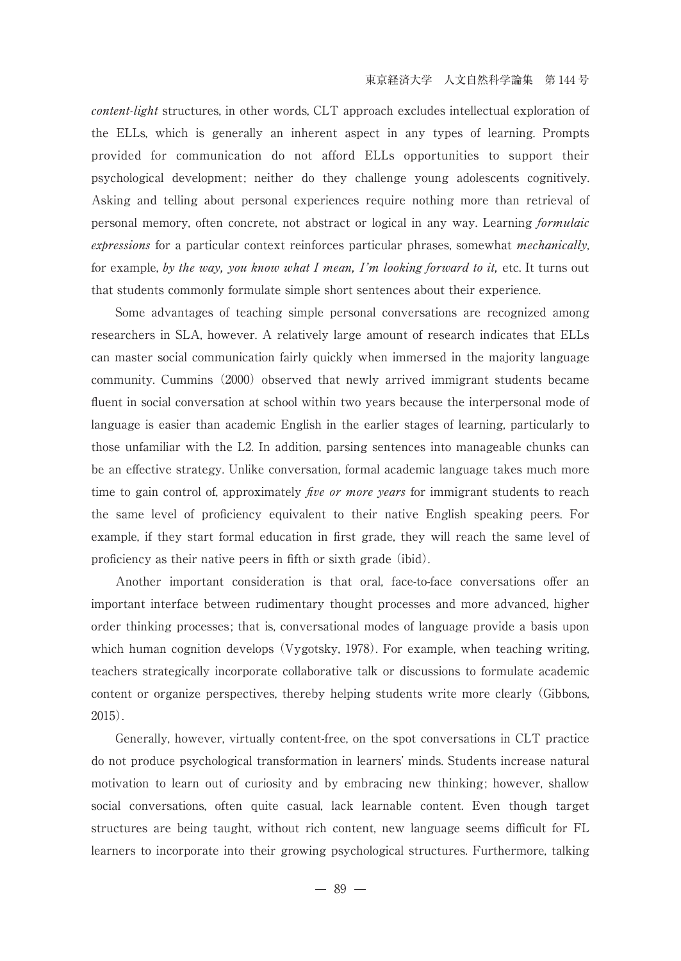content-light structures, in other words, CLT approach excludes intellectual exploration of the ELLs, which is generally an inherent aspect in any types of learning. Prompts provided for communication do not afford ELLs opportunities to support their psychological development; neither do they challenge young adolescents cognitively. Asking and telling about personal experiences require nothing more than retrieval of personal memory, often concrete, not abstract or logical in any way. Learning formulaic expressions for a particular context reinforces particular phrases, somewhat *mechanically*, for example, by the way, you know what I mean, I'm looking forward to it, etc. It turns out that students commonly formulate simple short sentences about their experience.

 Some advantages of teaching simple personal conversations are recognized among researchers in SLA, however. A relatively large amount of research indicates that ELLs can master social communication fairly quickly when immersed in the majority language community. Cummins (2000) observed that newly arrived immigrant students became fluent in social conversation at school within two years because the interpersonal mode of language is easier than academic English in the earlier stages of learning, particularly to those unfamiliar with the L2. In addition, parsing sentences into manageable chunks can be an effective strategy. Unlike conversation, formal academic language takes much more time to gain control of, approximately *five or more years* for immigrant students to reach the same level of proficiency equivalent to their native English speaking peers. For example, if they start formal education in first grade, they will reach the same level of proficiency as their native peers in fifth or sixth grade (ibid).

 Another important consideration is that oral, face-to-face conversations offer an important interface between rudimentary thought processes and more advanced, higher order thinking processes; that is, conversational modes of language provide a basis upon which human cognition develops (Vygotsky, 1978). For example, when teaching writing, teachers strategically incorporate collaborative talk or discussions to formulate academic content or organize perspectives, thereby helping students write more clearly (Gibbons, 2015).

 Generally, however, virtually content-free, on the spot conversations in CLT practice do not produce psychological transformation in learners' minds. Students increase natural motivation to learn out of curiosity and by embracing new thinking; however, shallow social conversations, often quite casual, lack learnable content. Even though target structures are being taught, without rich content, new language seems difficult for FL learners to incorporate into their growing psychological structures. Furthermore, talking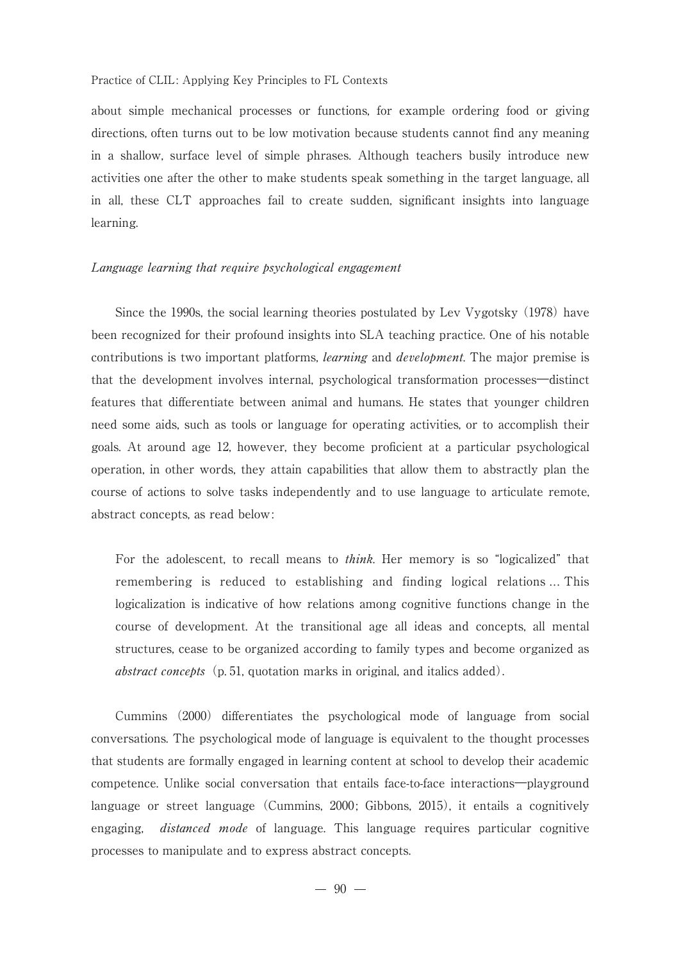about simple mechanical processes or functions, for example ordering food or giving directions, often turns out to be low motivation because students cannot find any meaning in a shallow, surface level of simple phrases. Although teachers busily introduce new activities one after the other to make students speak something in the target language, all in all, these CLT approaches fail to create sudden, significant insights into language learning.

#### Language learning that require psychological engagement

 Since the 1990s, the social learning theories postulated by Lev Vygotsky (1978) have been recognized for their profound insights into SLA teaching practice. One of his notable contributions is two important platforms, *learning* and *development*. The major premise is that the development involves internal, psychological transformation processes―distinct features that differentiate between animal and humans. He states that younger children need some aids, such as tools or language for operating activities, or to accomplish their goals. At around age 12, however, they become proficient at a particular psychological operation, in other words, they attain capabilities that allow them to abstractly plan the course of actions to solve tasks independently and to use language to articulate remote, abstract concepts, as read below:

For the adolescent, to recall means to *think*. Her memory is so "logicalized" that remembering is reduced to establishing and finding logical relations ... This logicalization is indicative of how relations among cognitive functions change in the course of development. At the transitional age all ideas and concepts, all mental structures, cease to be organized according to family types and become organized as abstract concepts (p. 51, quotation marks in original, and italics added).

 Cummins (2000) differentiates the psychological mode of language from social conversations. The psychological mode of language is equivalent to the thought processes that students are formally engaged in learning content at school to develop their academic competence. Unlike social conversation that entails face-to-face interactions―playground language or street language (Cummins, 2000; Gibbons, 2015), it entails a cognitively engaging, *distanced mode* of language. This language requires particular cognitive processes to manipulate and to express abstract concepts.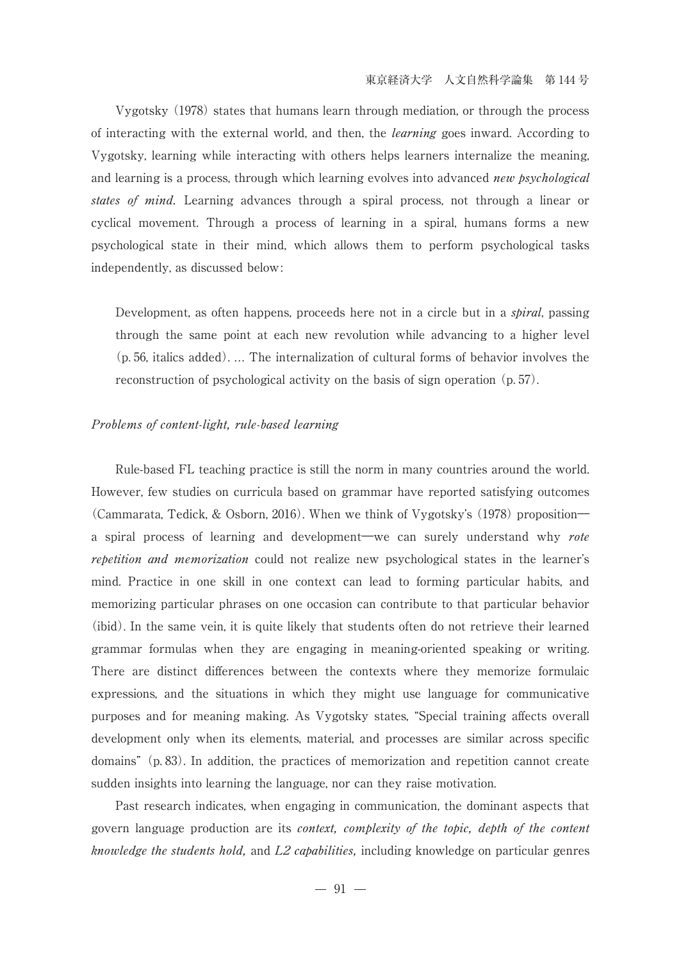Vygotsky (1978) states that humans learn through mediation, or through the process of interacting with the external world, and then, the *learning* goes inward. According to Vygotsky, learning while interacting with others helps learners internalize the meaning, and learning is a process, through which learning evolves into advanced *new psychological* states of mind. Learning advances through a spiral process, not through a linear or cyclical movement. Through a process of learning in a spiral, humans forms a new psychological state in their mind, which allows them to perform psychological tasks independently, as discussed below:

Development, as often happens, proceeds here not in a circle but in a *spiral*, passing through the same point at each new revolution while advancing to a higher level (p. 56, italics added). ... The internalization of cultural forms of behavior involves the reconstruction of psychological activity on the basis of sign operation (p. 57).

#### Problems of content-light, rule-based learning

 Rule-based FL teaching practice is still the norm in many countries around the world. However, few studies on curricula based on grammar have reported satisfying outcomes (Cammarata, Tedick, & Osborn, 2016). When we think of Vygotsky's (1978) proposition― a spiral process of learning and development—we can surely understand why rote *repetition and memorization* could not realize new psychological states in the learner's mind. Practice in one skill in one context can lead to forming particular habits, and memorizing particular phrases on one occasion can contribute to that particular behavior (ibid). In the same vein, it is quite likely that students often do not retrieve their learned grammar formulas when they are engaging in meaning-oriented speaking or writing. There are distinct differences between the contexts where they memorize formulaic expressions, and the situations in which they might use language for communicative purposes and for meaning making. As Vygotsky states, "Special training affects overall development only when its elements, material, and processes are similar across specific domains"(p. 83). In addition, the practices of memorization and repetition cannot create sudden insights into learning the language, nor can they raise motivation.

 Past research indicates, when engaging in communication, the dominant aspects that govern language production are its context, complexity of the topic, depth of the content *knowledge the students hold,* and  $L2$  *capabilities,* including knowledge on particular genres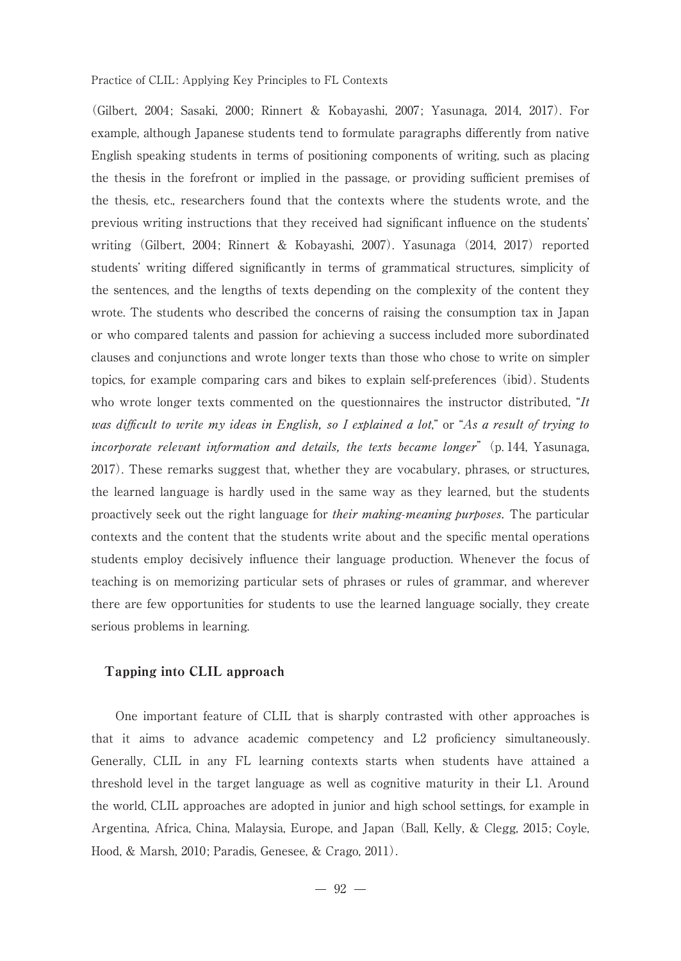(Gilbert, 2004; Sasaki, 2000; Rinnert & Kobayashi, 2007; Yasunaga, 2014, 2017). For example, although Japanese students tend to formulate paragraphs differently from native English speaking students in terms of positioning components of writing, such as placing the thesis in the forefront or implied in the passage, or providing sufficient premises of the thesis, etc., researchers found that the contexts where the students wrote, and the previous writing instructions that they received had significant influence on the students' writing (Gilbert, 2004; Rinnert & Kobayashi, 2007). Yasunaga (2014, 2017) reported students' writing differed significantly in terms of grammatical structures, simplicity of the sentences, and the lengths of texts depending on the complexity of the content they wrote. The students who described the concerns of raising the consumption tax in Japan or who compared talents and passion for achieving a success included more subordinated clauses and conjunctions and wrote longer texts than those who chose to write on simpler topics, for example comparing cars and bikes to explain self-preferences (ibid). Students who wrote longer texts commented on the questionnaires the instructor distributed, "It was difficult to write my ideas in English, so I explained a lot," or "As a result of trying to incorporate relevant information and details, the texts became longer"  $(p. 144, Yasunaga,$ 2017). These remarks suggest that, whether they are vocabulary, phrases, or structures, the learned language is hardly used in the same way as they learned, but the students proactively seek out the right language for their making-meaning purposes. The particular contexts and the content that the students write about and the specific mental operations students employ decisively influence their language production. Whenever the focus of teaching is on memorizing particular sets of phrases or rules of grammar, and wherever there are few opportunities for students to use the learned language socially, they create serious problems in learning.

#### Tapping into CLIL approach

 One important feature of CLIL that is sharply contrasted with other approaches is that it aims to advance academic competency and L2 proficiency simultaneously. Generally, CLIL in any FL learning contexts starts when students have attained a threshold level in the target language as well as cognitive maturity in their L1. Around the world, CLIL approaches are adopted in junior and high school settings, for example in Argentina, Africa, China, Malaysia, Europe, and Japan (Ball, Kelly, & Clegg, 2015; Coyle, Hood, & Marsh, 2010; Paradis, Genesee, & Crago, 2011).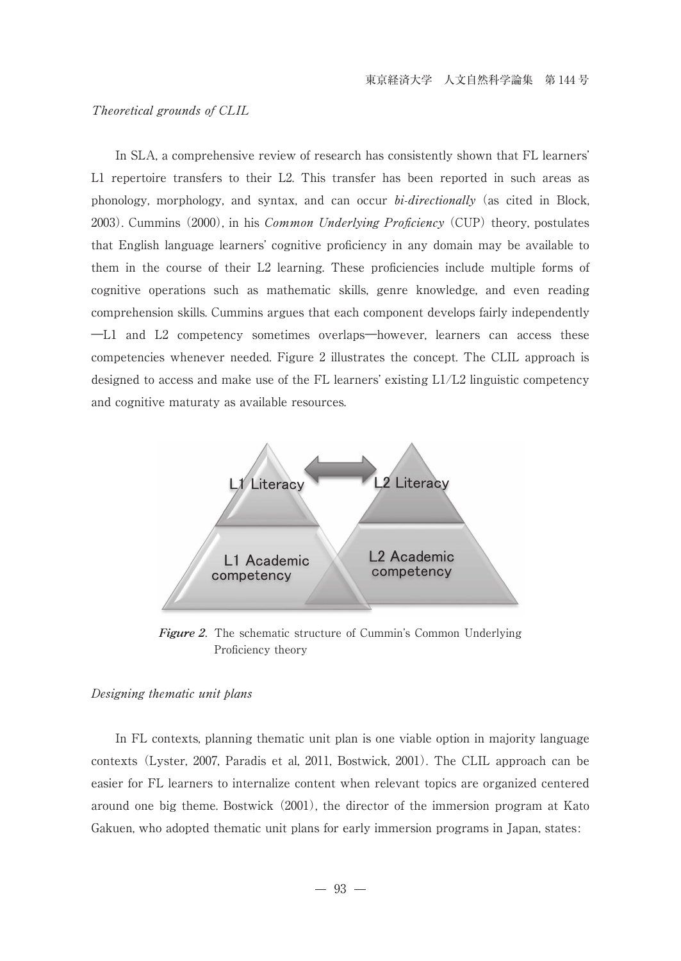## Theoretical grounds of CLIL

 In SLA, a comprehensive review of research has consistently shown that FL learners' L1 repertoire transfers to their L2. This transfer has been reported in such areas as phonology, morphology, and syntax, and can occur *bi-directionally* (as cited in Block, 2003). Cummins (2000), in his *Common Underlying Proficiency* (CUP) theory, postulates that English language learners' cognitive proficiency in any domain may be available to them in the course of their L2 learning. These proficiencies include multiple forms of cognitive operations such as mathematic skills, genre knowledge, and even reading comprehension skills. Cummins argues that each component develops fairly independently ―L1 and L2 competency sometimes overlaps―however, learners can access these competencies whenever needed. Figure 2 illustrates the concept. The CLIL approach is designed to access and make use of the FL learners' existing L1/L2 linguistic competency and cognitive maturaty as available resources.



**Figure 2**. The schematic structure of Cummin's Common Underlying Proficiency theory

#### Designing thematic unit plans

 In FL contexts, planning thematic unit plan is one viable option in majority language contexts (Lyster, 2007, Paradis et al, 2011, Bostwick, 2001). The CLIL approach can be easier for FL learners to internalize content when relevant topics are organized centered around one big theme. Bostwick (2001), the director of the immersion program at Kato Gakuen, who adopted thematic unit plans for early immersion programs in Japan, states: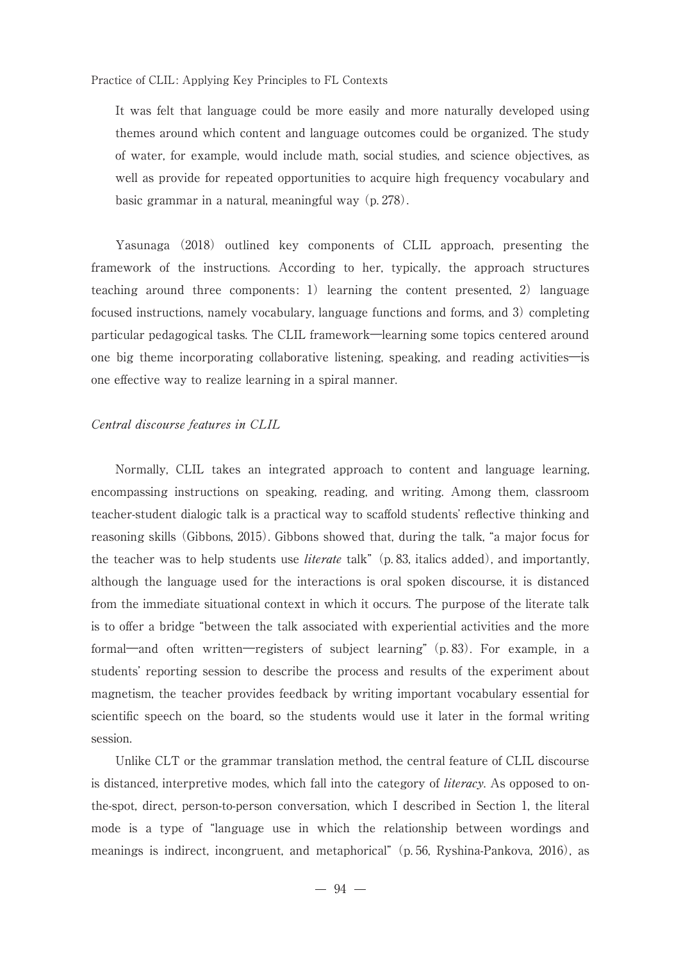It was felt that language could be more easily and more naturally developed using themes around which content and language outcomes could be organized. The study of water, for example, would include math, social studies, and science objectives, as well as provide for repeated opportunities to acquire high frequency vocabulary and basic grammar in a natural, meaningful way (p. 278).

 Yasunaga (2018) outlined key components of CLIL approach, presenting the framework of the instructions. According to her, typically, the approach structures teaching around three components: 1) learning the content presented, 2) language focused instructions, namely vocabulary, language functions and forms, and 3) completing particular pedagogical tasks. The CLIL framework―learning some topics centered around one big theme incorporating collaborative listening, speaking, and reading activities―is one effective way to realize learning in a spiral manner.

#### Central discourse features in CLIL

 Normally, CLIL takes an integrated approach to content and language learning, encompassing instructions on speaking, reading, and writing. Among them, classroom teacher-student dialogic talk is a practical way to scaffold students' reflective thinking and reasoning skills (Gibbons, 2015). Gibbons showed that, during the talk, "a major focus for the teacher was to help students use *literate* talk" (p. 83, italics added), and importantly, although the language used for the interactions is oral spoken discourse, it is distanced from the immediate situational context in which it occurs. The purpose of the literate talk is to offer a bridge "between the talk associated with experiential activities and the more formal―and often written―registers of subject learning"(p. 83). For example, in a students' reporting session to describe the process and results of the experiment about magnetism, the teacher provides feedback by writing important vocabulary essential for scientific speech on the board, so the students would use it later in the formal writing session.

 Unlike CLT or the grammar translation method, the central feature of CLIL discourse is distanced, interpretive modes, which fall into the category of *literacy*. As opposed to onthe-spot, direct, person-to-person conversation, which I described in Section 1, the literal mode is a type of "language use in which the relationship between wordings and meanings is indirect, incongruent, and metaphorical"(p. 56, Ryshina-Pankova, 2016), as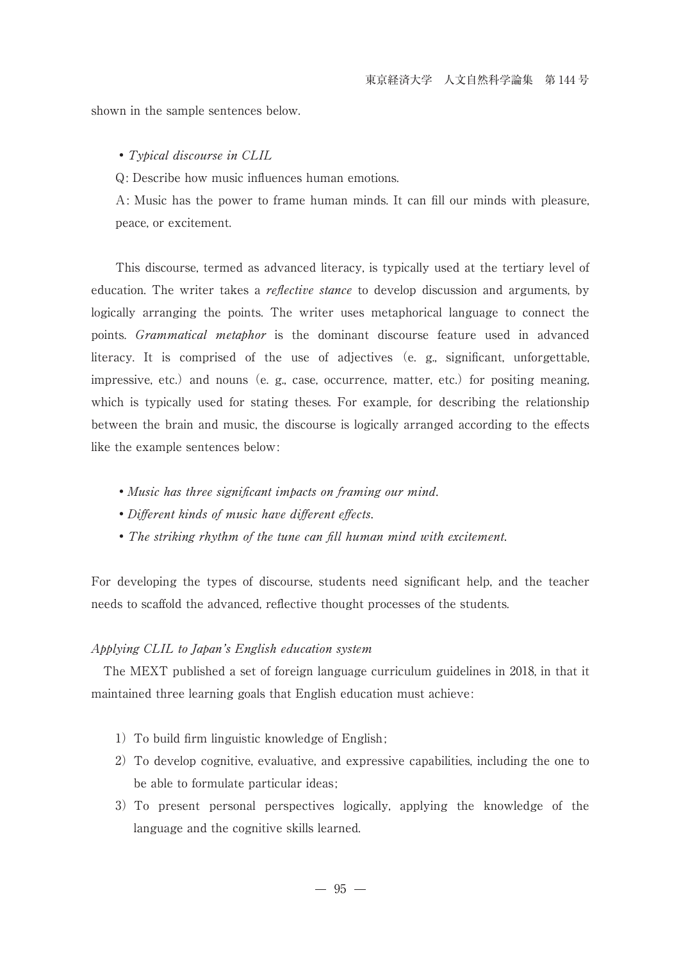shown in the sample sentences below.

#### ・Typical discourse in CLIL

Q: Describe how music influences human emotions.

A: Music has the power to frame human minds. It can fill our minds with pleasure, peace, or excitement.

 This discourse, termed as advanced literacy, is typically used at the tertiary level of education. The writer takes a *reflective stance* to develop discussion and arguments, by logically arranging the points. The writer uses metaphorical language to connect the points. Grammatical metaphor is the dominant discourse feature used in advanced literacy. It is comprised of the use of adjectives (e. g., significant, unforgettable, impressive, etc.) and nouns (e. g., case, occurrence, matter, etc.) for positing meaning, which is typically used for stating theses. For example, for describing the relationship between the brain and music, the discourse is logically arranged according to the effects like the example sentences below:

- ・Music has three significant impacts on framing our mind.
- ・Different kinds of music have different effects.
- The striking rhythm of the tune can fill human mind with excitement.

For developing the types of discourse, students need significant help, and the teacher needs to scaffold the advanced, reflective thought processes of the students.

#### Applying CLIL to Japan's English education system

 The MEXT published a set of foreign language curriculum guidelines in 2018, in that it maintained three learning goals that English education must achieve:

- 1) To build firm linguistic knowledge of English;
- 2)To develop cognitive, evaluative, and expressive capabilities, including the one to be able to formulate particular ideas;
- 3)To present personal perspectives logically, applying the knowledge of the language and the cognitive skills learned.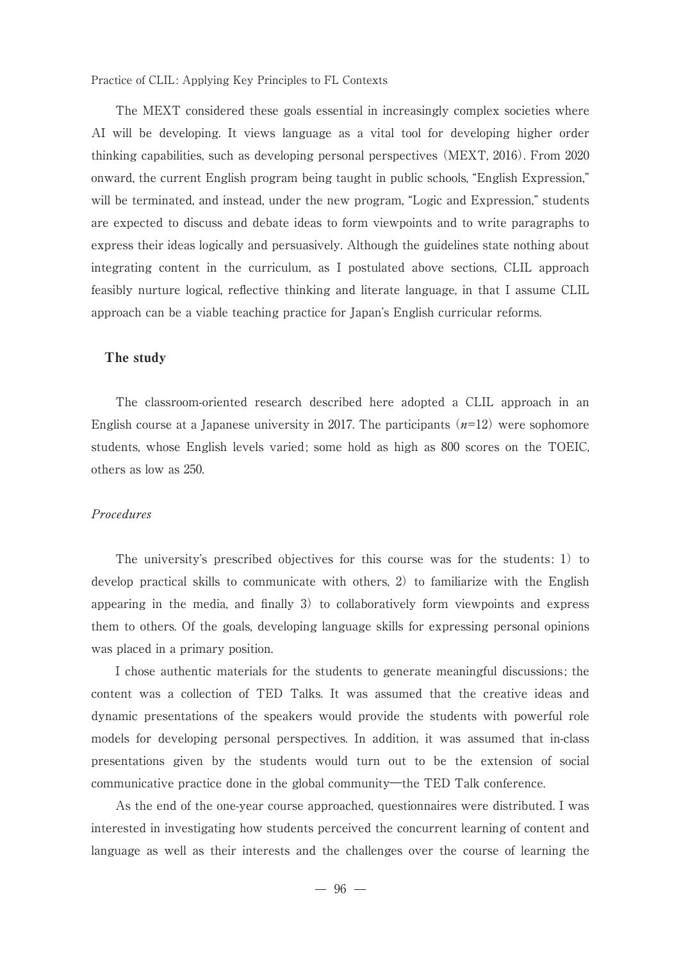The MEXT considered these goals essential in increasingly complex societies where AI will be developing. It views language as a vital tool for developing higher order thinking capabilities, such as developing personal perspectives (MEXT, 2016). From 2020 onward, the current English program being taught in public schools, "English Expression," will be terminated, and instead, under the new program, "Logic and Expression," students are expected to discuss and debate ideas to form viewpoints and to write paragraphs to express their ideas logically and persuasively. Although the guidelines state nothing about integrating content in the curriculum, as I postulated above sections, CLIL approach feasibly nurture logical, reflective thinking and literate language, in that I assume CLIL approach can be a viable teaching practice for Japan's English curricular reforms.

## The study

 The classroom-oriented research described here adopted a CLIL approach in an English course at a Japanese university in 2017. The participants  $(n=12)$  were sophomore students, whose English levels varied; some hold as high as 800 scores on the TOEIC, others as low as 250.

## Procedures

 The university's prescribed objectives for this course was for the students: 1) to develop practical skills to communicate with others, 2) to familiarize with the English appearing in the media, and finally 3) to collaboratively form viewpoints and express them to others. Of the goals, developing language skills for expressing personal opinions was placed in a primary position.

 I chose authentic materials for the students to generate meaningful discussions; the content was a collection of TED Talks. It was assumed that the creative ideas and dynamic presentations of the speakers would provide the students with powerful role models for developing personal perspectives. In addition, it was assumed that in-class presentations given by the students would turn out to be the extension of social communicative practice done in the global community―the TED Talk conference.

 As the end of the one-year course approached, questionnaires were distributed. I was interested in investigating how students perceived the concurrent learning of content and language as well as their interests and the challenges over the course of learning the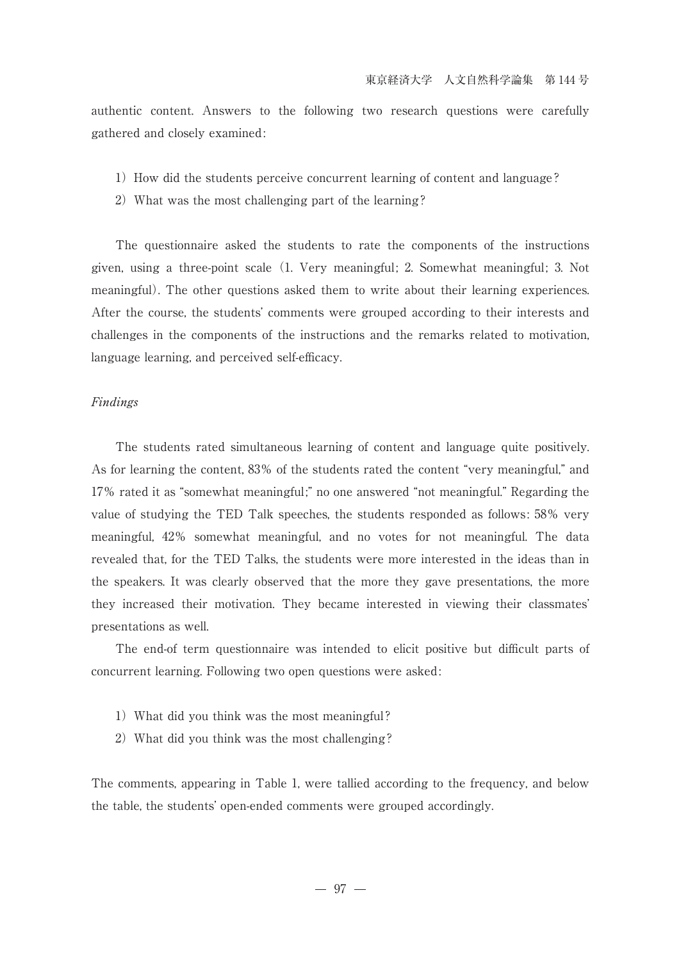authentic content. Answers to the following two research questions were carefully gathered and closely examined:

- 1) How did the students perceive concurrent learning of content and language?
- 2) What was the most challenging part of the learning?

 The questionnaire asked the students to rate the components of the instructions given, using a three-point scale (1. Very meaningful; 2. Somewhat meaningful; 3. Not meaningful). The other questions asked them to write about their learning experiences. After the course, the students' comments were grouped according to their interests and challenges in the components of the instructions and the remarks related to motivation, language learning, and perceived self-efficacy.

## Findings

 The students rated simultaneous learning of content and language quite positively. As for learning the content, 83% of the students rated the content "very meaningful," and 17% rated it as "somewhat meaningful;" no one answered "not meaningful." Regarding the value of studying the TED Talk speeches, the students responded as follows: 58% very meaningful, 42% somewhat meaningful, and no votes for not meaningful. The data revealed that, for the TED Talks, the students were more interested in the ideas than in the speakers. It was clearly observed that the more they gave presentations, the more they increased their motivation. They became interested in viewing their classmates' presentations as well.

 The end-of term questionnaire was intended to elicit positive but difficult parts of concurrent learning. Following two open questions were asked:

- 1) What did you think was the most meaningful?
- 2) What did you think was the most challenging?

The comments, appearing in Table 1, were tallied according to the frequency, and below the table, the students' open-ended comments were grouped accordingly.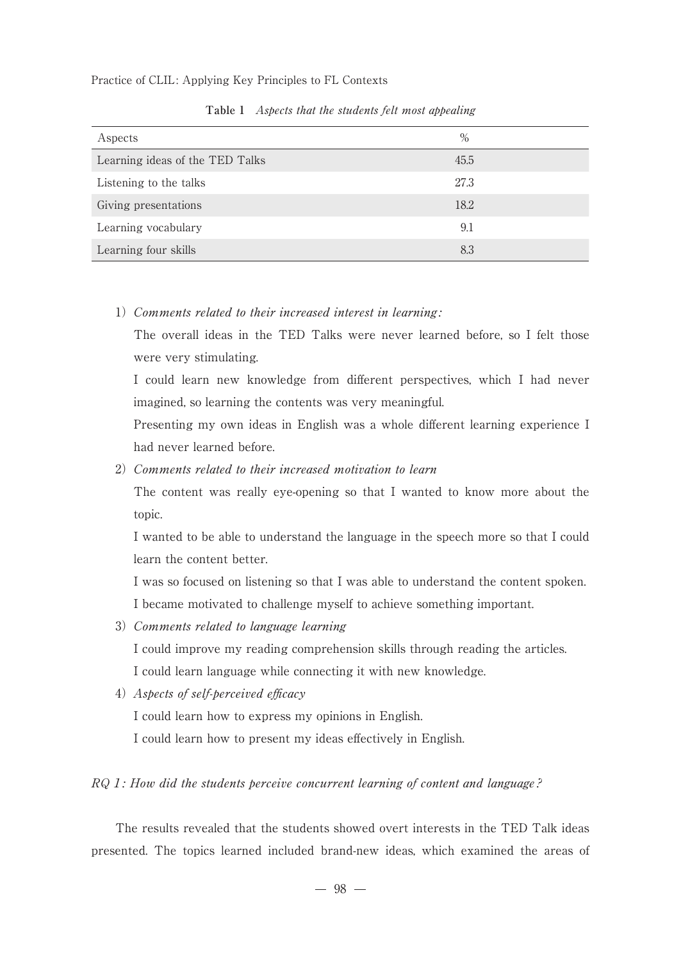| Aspects                         | $\%$ |  |
|---------------------------------|------|--|
| Learning ideas of the TED Talks | 45.5 |  |
| Listening to the talks          | 27.3 |  |
| Giving presentations            | 18.2 |  |
| Learning vocabulary             | 9.1  |  |
| Learning four skills            | 8.3  |  |

Table 1 Aspects that the students felt most appealing

1) Comments related to their increased interest in learning:

The overall ideas in the TED Talks were never learned before, so I felt those were very stimulating.

I could learn new knowledge from different perspectives, which I had never imagined, so learning the contents was very meaningful.

Presenting my own ideas in English was a whole different learning experience I had never learned before.

2) Comments related to their increased motivation to learn

The content was really eye-opening so that I wanted to know more about the topic.

I wanted to be able to understand the language in the speech more so that I could learn the content better.

I was so focused on listening so that I was able to understand the content spoken. I became motivated to challenge myself to achieve something important.

3) Comments related to language learning

I could improve my reading comprehension skills through reading the articles.

I could learn language while connecting it with new knowledge.

4) Aspects of self-perceived efficacy

I could learn how to express my opinions in English.

I could learn how to present my ideas effectively in English.

## RQ 1: How did the students perceive concurrent learning of content and language?

 The results revealed that the students showed overt interests in the TED Talk ideas presented. The topics learned included brand-new ideas, which examined the areas of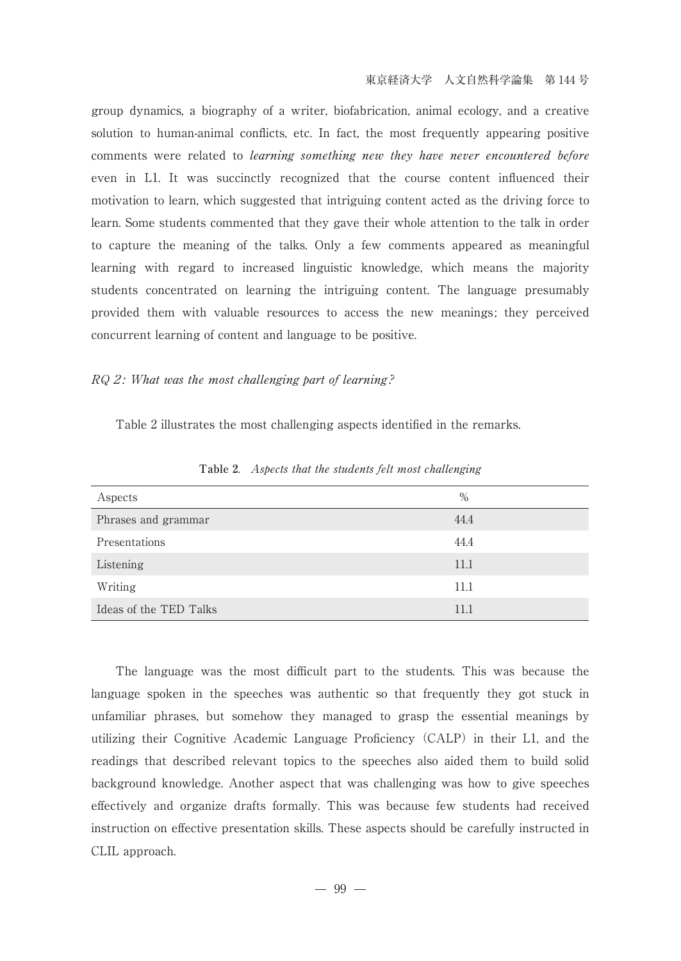group dynamics, a biography of a writer, biofabrication, animal ecology, and a creative solution to human-animal conflicts, etc. In fact, the most frequently appearing positive comments were related to *learning something new they have never encountered before* even in L1. It was succinctly recognized that the course content influenced their motivation to learn, which suggested that intriguing content acted as the driving force to learn. Some students commented that they gave their whole attention to the talk in order to capture the meaning of the talks. Only a few comments appeared as meaningful learning with regard to increased linguistic knowledge, which means the majority students concentrated on learning the intriguing content. The language presumably provided them with valuable resources to access the new meanings; they perceived concurrent learning of content and language to be positive.

## RQ 2: What was the most challenging part of learning?

Table 2 illustrates the most challenging aspects identified in the remarks.

| Aspects                | $\%$ |  |
|------------------------|------|--|
| Phrases and grammar    | 44.4 |  |
| Presentations          | 44.4 |  |
| Listening              | 11.1 |  |
| Writing                | 11.1 |  |
| Ideas of the TED Talks | 11.1 |  |

**Table 2**. Aspects that the students felt most challenging

 The language was the most difficult part to the students. This was because the language spoken in the speeches was authentic so that frequently they got stuck in unfamiliar phrases, but somehow they managed to grasp the essential meanings by utilizing their Cognitive Academic Language Proficiency (CALP) in their L1, and the readings that described relevant topics to the speeches also aided them to build solid background knowledge. Another aspect that was challenging was how to give speeches effectively and organize drafts formally. This was because few students had received instruction on effective presentation skills. These aspects should be carefully instructed in CLIL approach.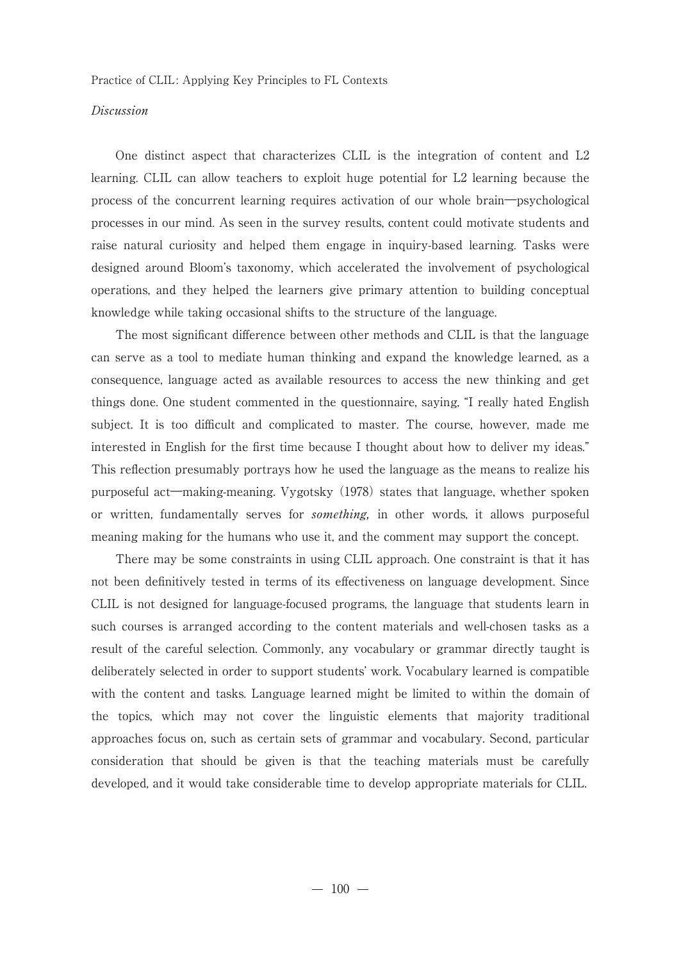## Discussion

 One distinct aspect that characterizes CLIL is the integration of content and L2 learning. CLIL can allow teachers to exploit huge potential for L2 learning because the process of the concurrent learning requires activation of our whole brain―psychological processes in our mind. As seen in the survey results, content could motivate students and raise natural curiosity and helped them engage in inquiry-based learning. Tasks were designed around Bloom's taxonomy, which accelerated the involvement of psychological operations, and they helped the learners give primary attention to building conceptual knowledge while taking occasional shifts to the structure of the language.

 The most significant difference between other methods and CLIL is that the language can serve as a tool to mediate human thinking and expand the knowledge learned, as a consequence, language acted as available resources to access the new thinking and get things done. One student commented in the questionnaire, saying, "I really hated English subject. It is too difficult and complicated to master. The course, however, made me interested in English for the first time because I thought about how to deliver my ideas." This reflection presumably portrays how he used the language as the means to realize his purposeful act―making-meaning. Vygotsky (1978) states that language, whether spoken or written, fundamentally serves for something, in other words, it allows purposeful meaning making for the humans who use it, and the comment may support the concept.

 There may be some constraints in using CLIL approach. One constraint is that it has not been definitively tested in terms of its effectiveness on language development. Since CLIL is not designed for language-focused programs, the language that students learn in such courses is arranged according to the content materials and well-chosen tasks as a result of the careful selection. Commonly, any vocabulary or grammar directly taught is deliberately selected in order to support students' work. Vocabulary learned is compatible with the content and tasks. Language learned might be limited to within the domain of the topics, which may not cover the linguistic elements that majority traditional approaches focus on, such as certain sets of grammar and vocabulary. Second, particular consideration that should be given is that the teaching materials must be carefully developed, and it would take considerable time to develop appropriate materials for CLIL.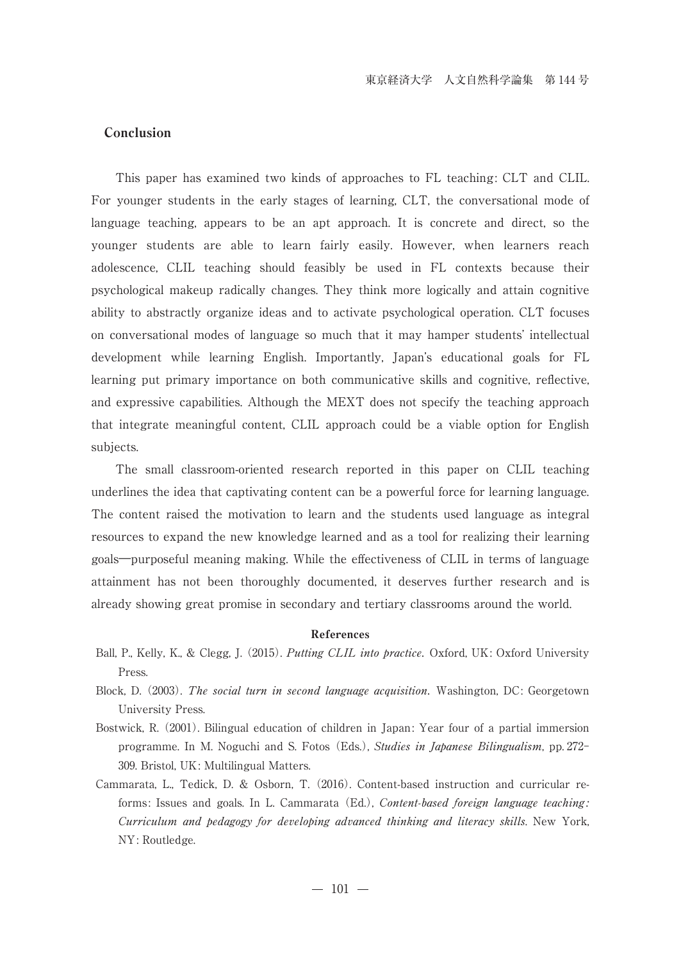## Conclusion

 This paper has examined two kinds of approaches to FL teaching: CLT and CLIL. For younger students in the early stages of learning, CLT, the conversational mode of language teaching, appears to be an apt approach. It is concrete and direct, so the younger students are able to learn fairly easily. However, when learners reach adolescence, CLIL teaching should feasibly be used in FL contexts because their psychological makeup radically changes. They think more logically and attain cognitive ability to abstractly organize ideas and to activate psychological operation. CLT focuses on conversational modes of language so much that it may hamper students' intellectual development while learning English. Importantly, Japan's educational goals for FL learning put primary importance on both communicative skills and cognitive, reflective, and expressive capabilities. Although the MEXT does not specify the teaching approach that integrate meaningful content, CLIL approach could be a viable option for English subjects.

 The small classroom-oriented research reported in this paper on CLIL teaching underlines the idea that captivating content can be a powerful force for learning language. The content raised the motivation to learn and the students used language as integral resources to expand the new knowledge learned and as a tool for realizing their learning goals―purposeful meaning making. While the effectiveness of CLIL in terms of language attainment has not been thoroughly documented, it deserves further research and is already showing great promise in secondary and tertiary classrooms around the world.

## References

- Ball, P., Kelly, K., & Clegg, J. (2015). *Putting CLIL into practice*. Oxford, UK: Oxford University Press.
- Block, D. (2003). The social turn in second language acquisition. Washington, DC: Georgetown University Press.
- Bostwick, R. (2001). Bilingual education of children in Japan: Year four of a partial immersion programme. In M. Noguchi and S. Fotos (Eds.), Studies in Japanese Bilingualism, pp. 272- 309. Bristol, UK: Multilingual Matters.
- Cammarata, L., Tedick, D. & Osborn, T. (2016). Content-based instruction and curricular reforms: Issues and goals. In L. Cammarata (Ed.), Content-based foreign language teaching: Curriculum and pedagogy for developing advanced thinking and literacy skills. New York, NY: Routledge.